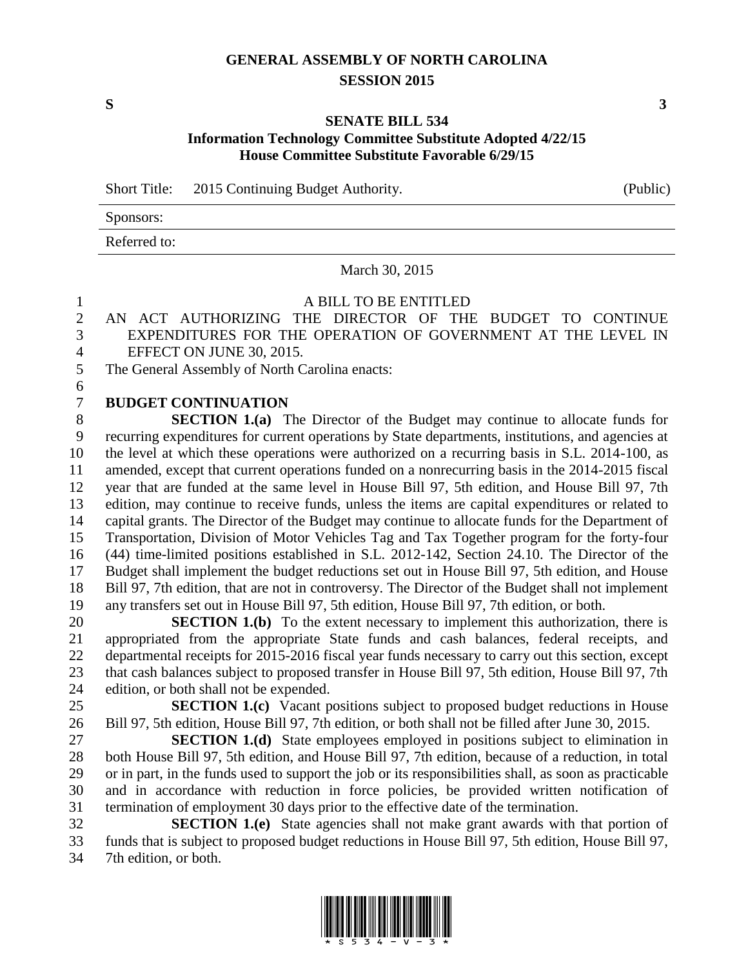## **GENERAL ASSEMBLY OF NORTH CAROLINA SESSION 2015**

## **SENATE BILL 534 Information Technology Committee Substitute Adopted 4/22/15 House Committee Substitute Favorable 6/29/15**

Short Title: 2015 Continuing Budget Authority. (Public)

Sponsors: Referred to:

March 30, 2015

## A BILL TO BE ENTITLED

 AN ACT AUTHORIZING THE DIRECTOR OF THE BUDGET TO CONTINUE EXPENDITURES FOR THE OPERATION OF GOVERNMENT AT THE LEVEL IN EFFECT ON JUNE 30, 2015.

The General Assembly of North Carolina enacts:

**BUDGET CONTINUATION**

 **SECTION 1.(a)** The Director of the Budget may continue to allocate funds for recurring expenditures for current operations by State departments, institutions, and agencies at the level at which these operations were authorized on a recurring basis in S.L. 2014-100, as amended, except that current operations funded on a nonrecurring basis in the 2014-2015 fiscal year that are funded at the same level in House Bill 97, 5th edition, and House Bill 97, 7th edition, may continue to receive funds, unless the items are capital expenditures or related to capital grants. The Director of the Budget may continue to allocate funds for the Department of Transportation, Division of Motor Vehicles Tag and Tax Together program for the forty-four (44) time-limited positions established in S.L. 2012-142, Section 24.10. The Director of the Budget shall implement the budget reductions set out in House Bill 97, 5th edition, and House Bill 97, 7th edition, that are not in controversy. The Director of the Budget shall not implement any transfers set out in House Bill 97, 5th edition, House Bill 97, 7th edition, or both.

**SECTION 1.(b)** To the extent necessary to implement this authorization, there is appropriated from the appropriate State funds and cash balances, federal receipts, and departmental receipts for 2015-2016 fiscal year funds necessary to carry out this section, except that cash balances subject to proposed transfer in House Bill 97, 5th edition, House Bill 97, 7th edition, or both shall not be expended.

 **SECTION 1.(c)** Vacant positions subject to proposed budget reductions in House Bill 97, 5th edition, House Bill 97, 7th edition, or both shall not be filled after June 30, 2015.

 **SECTION 1.(d)** State employees employed in positions subject to elimination in both House Bill 97, 5th edition, and House Bill 97, 7th edition, because of a reduction, in total or in part, in the funds used to support the job or its responsibilities shall, as soon as practicable and in accordance with reduction in force policies, be provided written notification of termination of employment 30 days prior to the effective date of the termination.

 **SECTION 1.(e)** State agencies shall not make grant awards with that portion of funds that is subject to proposed budget reductions in House Bill 97, 5th edition, House Bill 97, 7th edition, or both.



**S 3**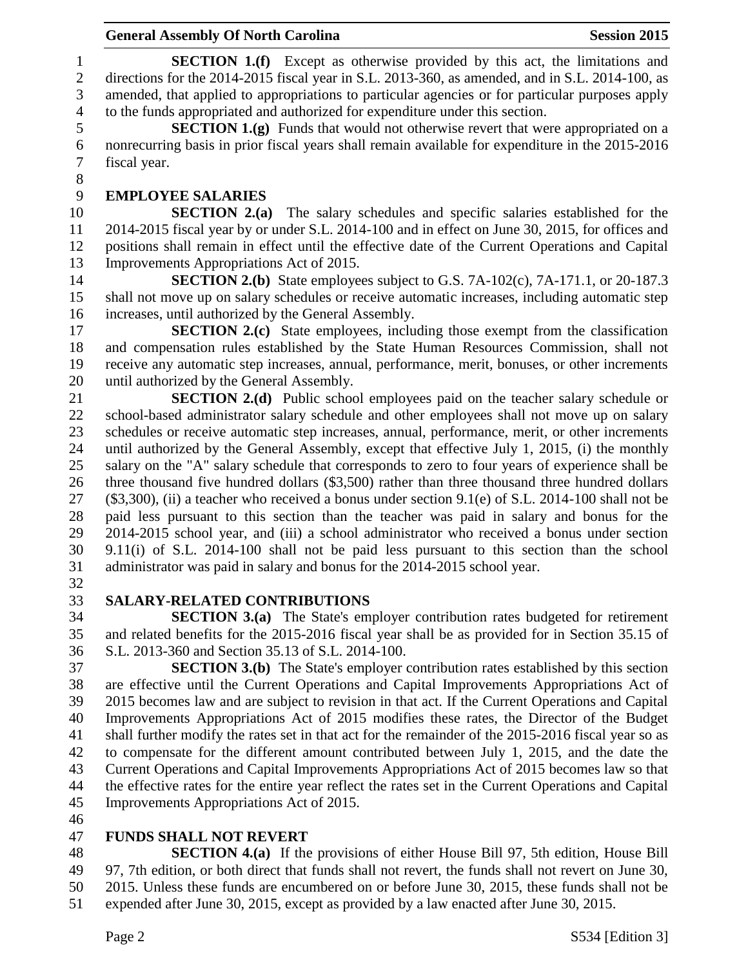**SECTION 1.(f)** Except as otherwise provided by this act, the limitations and directions for the 2014-2015 fiscal year in S.L. 2013-360, as amended, and in S.L. 2014-100, as amended, that applied to appropriations to particular agencies or for particular purposes apply to the funds appropriated and authorized for expenditure under this section.

 **SECTION 1.(g)** Funds that would not otherwise revert that were appropriated on a nonrecurring basis in prior fiscal years shall remain available for expenditure in the 2015-2016 fiscal year. 

## **EMPLOYEE SALARIES**

 **SECTION 2.(a)** The salary schedules and specific salaries established for the 2014-2015 fiscal year by or under S.L. 2014-100 and in effect on June 30, 2015, for offices and positions shall remain in effect until the effective date of the Current Operations and Capital Improvements Appropriations Act of 2015.

 **SECTION 2.(b)** State employees subject to G.S. 7A-102(c), 7A-171.1, or 20-187.3 shall not move up on salary schedules or receive automatic increases, including automatic step increases, until authorized by the General Assembly.

 **SECTION 2.(c)** State employees, including those exempt from the classification and compensation rules established by the State Human Resources Commission, shall not receive any automatic step increases, annual, performance, merit, bonuses, or other increments until authorized by the General Assembly.

 **SECTION 2.(d)** Public school employees paid on the teacher salary schedule or school-based administrator salary schedule and other employees shall not move up on salary schedules or receive automatic step increases, annual, performance, merit, or other increments until authorized by the General Assembly, except that effective July 1, 2015, (i) the monthly salary on the "A" salary schedule that corresponds to zero to four years of experience shall be three thousand five hundred dollars (\$3,500) rather than three thousand three hundred dollars (\$3,300), (ii) a teacher who received a bonus under section 9.1(e) of S.L. 2014-100 shall not be paid less pursuant to this section than the teacher was paid in salary and bonus for the 2014-2015 school year, and (iii) a school administrator who received a bonus under section 9.11(i) of S.L. 2014-100 shall not be paid less pursuant to this section than the school administrator was paid in salary and bonus for the 2014-2015 school year.

# **SALARY-RELATED CONTRIBUTIONS**

 **SECTION 3.(a)** The State's employer contribution rates budgeted for retirement and related benefits for the 2015-2016 fiscal year shall be as provided for in Section 35.15 of S.L. 2013-360 and Section 35.13 of S.L. 2014-100.

 **SECTION 3.(b)** The State's employer contribution rates established by this section are effective until the Current Operations and Capital Improvements Appropriations Act of 2015 becomes law and are subject to revision in that act. If the Current Operations and Capital Improvements Appropriations Act of 2015 modifies these rates, the Director of the Budget shall further modify the rates set in that act for the remainder of the 2015-2016 fiscal year so as to compensate for the different amount contributed between July 1, 2015, and the date the Current Operations and Capital Improvements Appropriations Act of 2015 becomes law so that the effective rates for the entire year reflect the rates set in the Current Operations and Capital Improvements Appropriations Act of 2015.

## **FUNDS SHALL NOT REVERT**

 **SECTION 4.(a)** If the provisions of either House Bill 97, 5th edition, House Bill 97, 7th edition, or both direct that funds shall not revert, the funds shall not revert on June 30, 2015. Unless these funds are encumbered on or before June 30, 2015, these funds shall not be expended after June 30, 2015, except as provided by a law enacted after June 30, 2015.